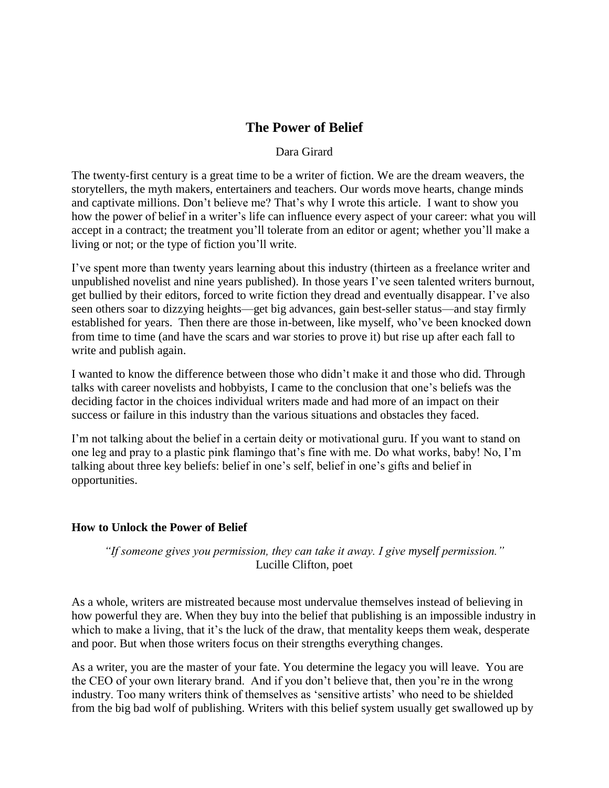# **The Power of Belief**

#### Dara Girard

The twenty-first century is a great time to be a writer of fiction. We are the dream weavers, the storytellers, the myth makers, entertainers and teachers. Our words move hearts, change minds and captivate millions. Don"t believe me? That"s why I wrote this article. I want to show you how the power of belief in a writer's life can influence every aspect of your career: what you will accept in a contract; the treatment you"ll tolerate from an editor or agent; whether you"ll make a living or not; or the type of fiction you"ll write.

I"ve spent more than twenty years learning about this industry (thirteen as a freelance writer and unpublished novelist and nine years published). In those years I"ve seen talented writers burnout, get bullied by their editors, forced to write fiction they dread and eventually disappear. I"ve also seen others soar to dizzying heights—get big advances, gain best-seller status—and stay firmly established for years. Then there are those in-between, like myself, who"ve been knocked down from time to time (and have the scars and war stories to prove it) but rise up after each fall to write and publish again.

I wanted to know the difference between those who didn"t make it and those who did. Through talks with career novelists and hobbyists, I came to the conclusion that one"s beliefs was the deciding factor in the choices individual writers made and had more of an impact on their success or failure in this industry than the various situations and obstacles they faced.

I"m not talking about the belief in a certain deity or motivational guru. If you want to stand on one leg and pray to a plastic pink flamingo that"s fine with me. Do what works, baby! No, I"m talking about three key beliefs: belief in one"s self, belief in one"s gifts and belief in opportunities.

# **How to Unlock the Power of Belief**

*"If someone gives you permission, they can take it away. I give myself permission."*  Lucille Clifton, poet

As a whole, writers are mistreated because most undervalue themselves instead of believing in how powerful they are. When they buy into the belief that publishing is an impossible industry in which to make a living, that it's the luck of the draw, that mentality keeps them weak, desperate and poor. But when those writers focus on their strengths everything changes.

As a writer, you are the master of your fate. You determine the legacy you will leave. You are the CEO of your own literary brand. And if you don"t believe that, then you"re in the wrong industry. Too many writers think of themselves as "sensitive artists" who need to be shielded from the big bad wolf of publishing. Writers with this belief system usually get swallowed up by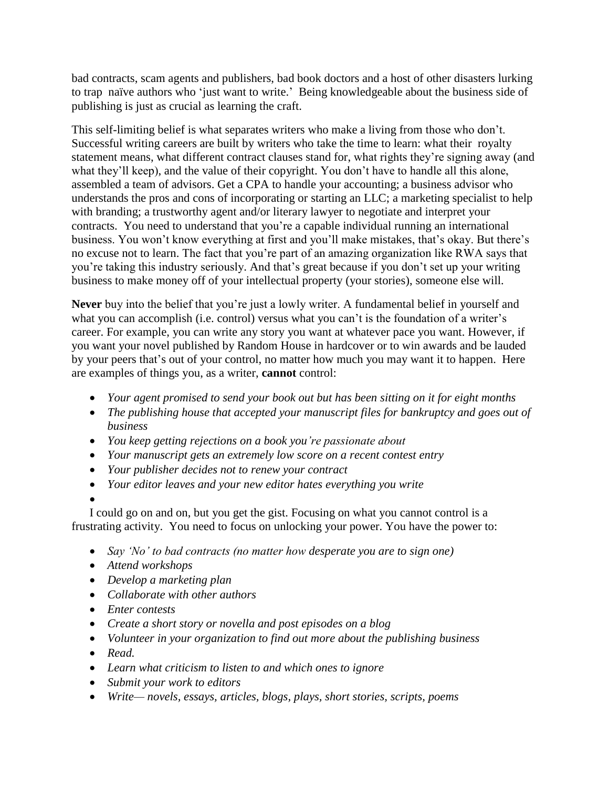bad contracts, scam agents and publishers, bad book doctors and a host of other disasters lurking to trap naïve authors who "just want to write." Being knowledgeable about the business side of publishing is just as crucial as learning the craft.

This self-limiting belief is what separates writers who make a living from those who don"t. Successful writing careers are built by writers who take the time to learn: what their royalty statement means, what different contract clauses stand for, what rights they"re signing away (and what they'll keep), and the value of their copyright. You don't have to handle all this alone, assembled a team of advisors. Get a CPA to handle your accounting; a business advisor who understands the pros and cons of incorporating or starting an LLC; a marketing specialist to help with branding; a trustworthy agent and/or literary lawyer to negotiate and interpret your contracts. You need to understand that you"re a capable individual running an international business. You won't know everything at first and you'll make mistakes, that's okay. But there's no excuse not to learn. The fact that you"re part of an amazing organization like RWA says that you"re taking this industry seriously. And that"s great because if you don"t set up your writing business to make money off of your intellectual property (your stories), someone else will.

**Never** buy into the belief that you"re just a lowly writer. A fundamental belief in yourself and what you can accomplish (i.e. control) versus what you can't is the foundation of a writer's career. For example, you can write any story you want at whatever pace you want. However, if you want your novel published by Random House in hardcover or to win awards and be lauded by your peers that's out of your control, no matter how much you may want it to happen. Here are examples of things you, as a writer, **cannot** control:

- *Your agent promised to send your book out but has been sitting on it for eight months*
- *The publishing house that accepted your manuscript files for bankruptcy and goes out of business*
- *You keep getting rejections on a book you"re passionate about*
- *Your manuscript gets an extremely low score on a recent contest entry*
- *Your publisher decides not to renew your contract*
- *Your editor leaves and your new editor hates everything you write*

 $\bullet$ 

I could go on and on, but you get the gist. Focusing on what you cannot control is a frustrating activity. You need to focus on unlocking your power. You have the power to:

- *Say "No" to bad contracts (no matter how desperate you are to sign one)*
- *Attend workshops*
- *Develop a marketing plan*
- *Collaborate with other authors*
- *Enter contests*
- *Create a short story or novella and post episodes on a blog*
- *Volunteer in your organization to find out more about the publishing business*
- *Read.*
- *Learn what criticism to listen to and which ones to ignore*
- *Submit your work to editors*
- *Write— novels, essays, articles, blogs, plays, short stories, scripts, poems*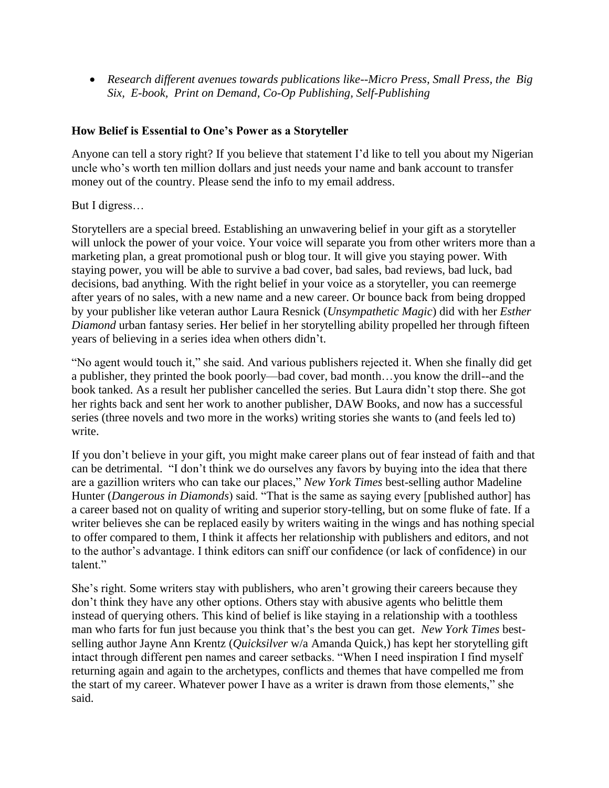*Research different avenues towards publications like--Micro Press, Small Press, the Big Six, E-book, Print on Demand, Co-Op Publishing, Self-Publishing*

## **How Belief is Essential to One's Power as a Storyteller**

Anyone can tell a story right? If you believe that statement I"d like to tell you about my Nigerian uncle who"s worth ten million dollars and just needs your name and bank account to transfer money out of the country. Please send the info to my email address.

But I digress…

Storytellers are a special breed. Establishing an unwavering belief in your gift as a storyteller will unlock the power of your voice. Your voice will separate you from other writers more than a marketing plan, a great promotional push or blog tour. It will give you staying power. With staying power, you will be able to survive a bad cover, bad sales, bad reviews, bad luck, bad decisions, bad anything. With the right belief in your voice as a storyteller, you can reemerge after years of no sales, with a new name and a new career. Or bounce back from being dropped by your publisher like veteran author Laura Resnick (*Unsympathetic Magic*) did with her *Esther Diamond* urban fantasy series. Her belief in her storytelling ability propelled her through fifteen years of believing in a series idea when others didn"t.

"No agent would touch it," she said. And various publishers rejected it. When she finally did get a publisher, they printed the book poorly—bad cover, bad month…you know the drill--and the book tanked. As a result her publisher cancelled the series. But Laura didn"t stop there. She got her rights back and sent her work to another publisher, DAW Books, and now has a successful series (three novels and two more in the works) writing stories she wants to (and feels led to) write.

If you don"t believe in your gift, you might make career plans out of fear instead of faith and that can be detrimental. "I don"t think we do ourselves any favors by buying into the idea that there are a gazillion writers who can take our places," *New York Times* best-selling author Madeline Hunter (*Dangerous in Diamonds*) said. "That is the same as saying every [published author] has a career based not on quality of writing and superior story-telling, but on some fluke of fate. If a writer believes she can be replaced easily by writers waiting in the wings and has nothing special to offer compared to them, I think it affects her relationship with publishers and editors, and not to the author"s advantage. I think editors can sniff our confidence (or lack of confidence) in our talent."

She's right. Some writers stay with publishers, who aren't growing their careers because they don"t think they have any other options. Others stay with abusive agents who belittle them instead of querying others. This kind of belief is like staying in a relationship with a toothless man who farts for fun just because you think that"s the best you can get. *New York Times* bestselling author Jayne Ann Krentz (*Quicksilver* w/a Amanda Quick,) has kept her storytelling gift intact through different pen names and career setbacks. "When I need inspiration I find myself returning again and again to the archetypes, conflicts and themes that have compelled me from the start of my career. Whatever power I have as a writer is drawn from those elements," she said.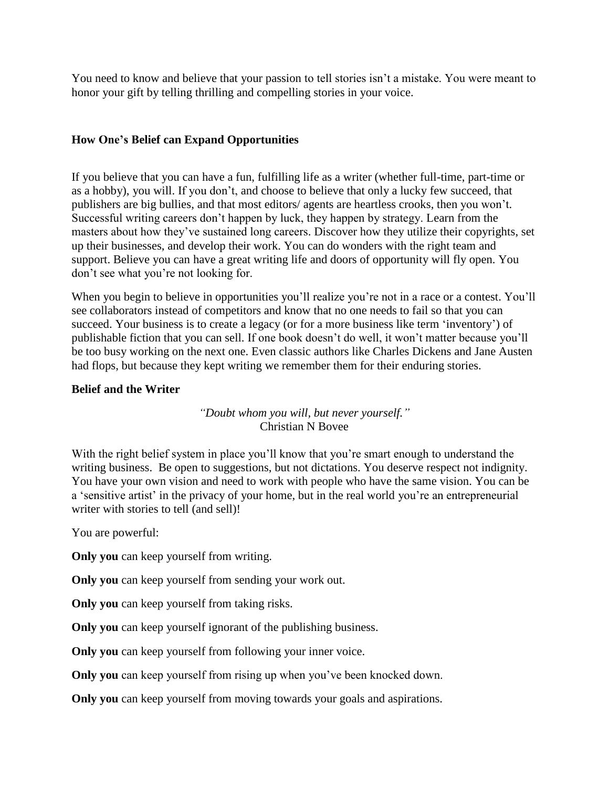You need to know and believe that your passion to tell stories isn"t a mistake. You were meant to honor your gift by telling thrilling and compelling stories in your voice.

## **How One's Belief can Expand Opportunities**

If you believe that you can have a fun, fulfilling life as a writer (whether full-time, part-time or as a hobby), you will. If you don"t, and choose to believe that only a lucky few succeed, that publishers are big bullies, and that most editors/ agents are heartless crooks, then you won"t. Successful writing careers don"t happen by luck, they happen by strategy. Learn from the masters about how they"ve sustained long careers. Discover how they utilize their copyrights, set up their businesses, and develop their work. You can do wonders with the right team and support. Believe you can have a great writing life and doors of opportunity will fly open. You don"t see what you"re not looking for.

When you begin to believe in opportunities you'll realize you're not in a race or a contest. You'll see collaborators instead of competitors and know that no one needs to fail so that you can succeed. Your business is to create a legacy (or for a more business like term "inventory") of publishable fiction that you can sell. If one book doesn"t do well, it won"t matter because you"ll be too busy working on the next one. Even classic authors like Charles Dickens and Jane Austen had flops, but because they kept writing we remember them for their enduring stories.

#### **Belief and the Writer**

# *"Doubt whom you will, but never yourself."* Christian N Bovee

With the right belief system in place you'll know that you're smart enough to understand the writing business. Be open to suggestions, but not dictations. You deserve respect not indignity. You have your own vision and need to work with people who have the same vision. You can be a 'sensitive artist' in the privacy of your home, but in the real world you're an entrepreneurial writer with stories to tell (and sell)!

You are powerful:

**Only you** can keep yourself from writing.

**Only you** can keep yourself from sending your work out.

**Only you** can keep yourself from taking risks.

**Only you** can keep yourself ignorant of the publishing business.

**Only you** can keep yourself from following your inner voice.

**Only you** can keep yourself from rising up when you've been knocked down.

**Only you** can keep yourself from moving towards your goals and aspirations.